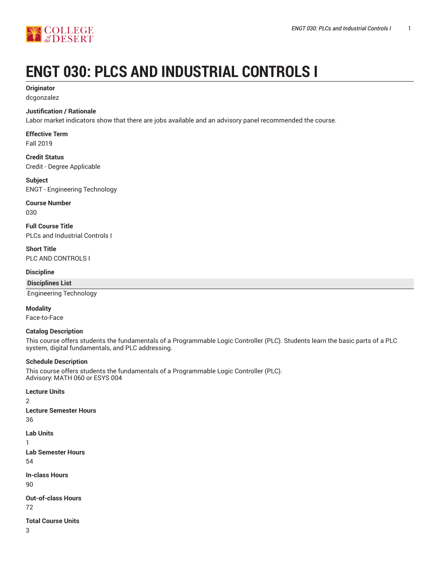

# **ENGT 030: PLCS AND INDUSTRIAL CONTROLS I**

# **Originator**

dcgonzalez

#### **Justification / Rationale**

Labor market indicators show that there are jobs available and an advisory panel recommended the course.

# **Effective Term**

Fall 2019

**Credit Status** Credit - Degree Applicable

#### **Subject** ENGT - Engineering Technology

**Course Number**

030

**Full Course Title** PLCs and Industrial Controls I

**Short Title** PLC AND CONTROLS I

#### **Discipline**

**Disciplines List**

Engineering Technology

#### **Modality**

Face-to-Face

#### **Catalog Description**

This course offers students the fundamentals of a Programmable Logic Controller (PLC). Students learn the basic parts of a PLC system, digital fundamentals, and PLC addressing.

#### **Schedule Description**

This course offers students the fundamentals of a Programmable Logic Controller (PLC). Advisory: MATH 060 or ESYS 004

**Lecture Units** 2 **Lecture Semester Hours** 36 **Lab Units** 1 **Lab Semester Hours** 54 **In-class Hours**

90

**Out-of-class Hours** 72

#### **Total Course Units**

3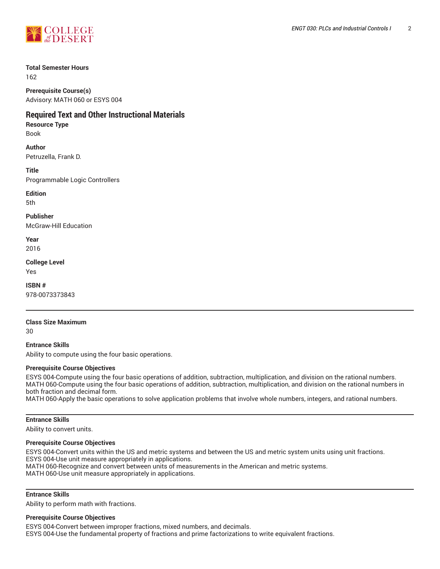

#### **Total Semester Hours**

162

**Prerequisite Course(s)** Advisory: MATH 060 or ESYS 004

# **Required Text and Other Instructional Materials**

#### **Resource Type**

Book

## **Author**

Petruzella, Frank D.

**Title** Programmable Logic Controllers

**Edition**

5th

**Publisher** McGraw-Hill Education

**Year** 2016

**College Level**

Yes

**ISBN #** 978-0073373843

### **Class Size Maximum**

30

**Entrance Skills** Ability to compute using the four basic operations.

#### **Prerequisite Course Objectives**

ESYS 004-Compute using the four basic operations of addition, subtraction, multiplication, and division on the rational numbers. MATH 060-Compute using the four basic operations of addition, subtraction, multiplication, and division on the rational numbers in both fraction and decimal form.

MATH 060-Apply the basic operations to solve application problems that involve whole numbers, integers, and rational numbers.

#### **Entrance Skills**

Ability to convert units.

#### **Prerequisite Course Objectives**

ESYS 004-Convert units within the US and metric systems and between the US and metric system units using unit fractions. ESYS 004-Use unit measure appropriately in applications. MATH 060-Recognize and convert between units of measurements in the American and metric systems.

MATH 060-Use unit measure appropriately in applications.

#### **Entrance Skills**

Ability to perform math with fractions.

#### **Prerequisite Course Objectives**

ESYS 004-Convert between improper fractions, mixed numbers, and decimals. ESYS 004-Use the fundamental property of fractions and prime factorizations to write equivalent fractions.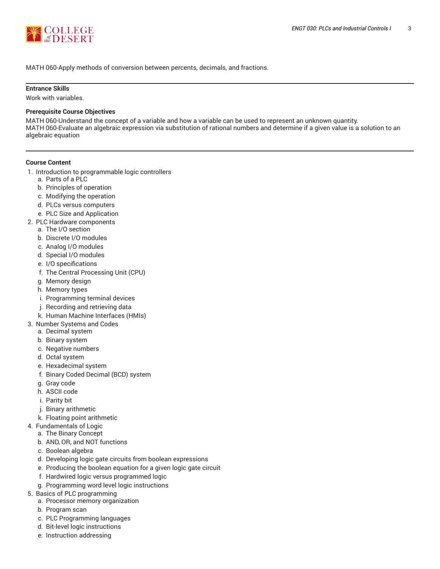

MATH 060-Apply methods of conversion between percents, decimals, and fractions.

#### **Entrance Skills**

Work with variables.

#### **Prerequisite Course Objectives**

MATH 060-Understand the concept of a variable and how a variable can be used to represent an unknown quantity. MATH 060-Evaluate an algebraic expression via substitution of rational numbers and determine if a given value is a solution to an algebraic equation

#### **Course Content**

- 1. Introduction to programmable logic controllers
	- a. Parts of a PLC
	- b. Principles of operation
	- c. Modifying the operation
	- d. PLCs versus computers
	- e. PLC Size and Application
- 2. PLC Hardware components
	- a. The I/O section
	- b. Discrete I/O modules
	- c. Analog I/O modules
	- d. Special I/O modules
	- e. I/O specifications
	- f. The Central Processing Unit (CPU)
	- g. Memory design
	- h. Memory types
	- i. Programming terminal devices
	- j. Recording and retrieving data
	- k. Human Machine Interfaces (HMIs)
- 3. Number Systems and Codes
	- a. Decimal system
	- b. Binary system
	- c. Negative numbers
	- d. Octal system
	- e. Hexadecimal system
	- f. Binary Coded Decimal (BCD) system
	- g. Gray code
	- h. ASCII code
	- i. Parity bit
	- j. Binary arithmetic
	- k. Floating point arithmetic
- 4. Fundamentals of Logic
	- a. The Binary Concept
	- b. AND, OR, and NOT functions
	- c. Boolean algebra
	- d. Developing logic gate circuits from boolean expressions
	- e. Producing the boolean equation for a given logic gate circuit
	- f. Hardwired logic versus programmed logic
	- g. Programming word level logic instructions
- 5. Basics of PLC programming
	- a. Processor memory organization
	- b. Program scan
	- c. PLC Programming languages
	- d. Bit-level logic instructions
	- e. Instruction addressing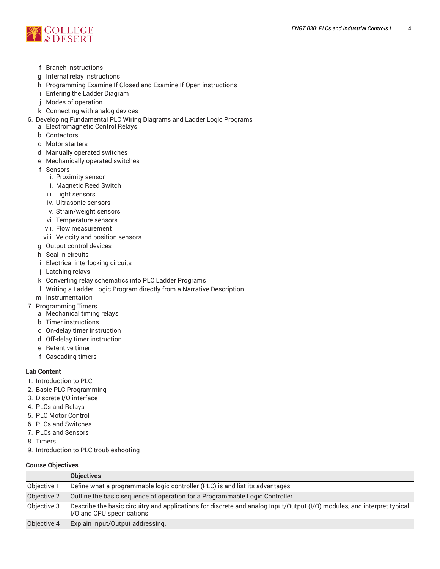

- f. Branch instructions
- g. Internal relay instructions
- h. Programming Examine If Closed and Examine If Open instructions
- i. Entering the Ladder Diagram
- j. Modes of operation
- k. Connecting with analog devices
- 6. Developing Fundamental PLC Wiring Diagrams and Ladder Logic Programs
	- a. Electromagnetic Control Relays
	- b. Contactors
	- c. Motor starters
	- d. Manually operated switches
	- e. Mechanically operated switches
	- f. Sensors
		- i. Proximity sensor
		- ii. Magnetic Reed Switch
		- iii. Light sensors
		- iv. Ultrasonic sensors
		- v. Strain/weight sensors
		- vi. Temperature sensors
		- vii. Flow measurement
	- viii. Velocity and position sensors
	- g. Output control devices
	- h. Seal-in circuits
	- i. Electrical interlocking circuits
	- j. Latching relays
	- k. Converting relay schematics into PLC Ladder Programs
	- l. Writing a Ladder Logic Program directly from a Narrative Description
- m. Instrumentation
- 7. Programming Timers
	- a. Mechanical timing relays
	- b. Timer instructions
	- c. On-delay timer instruction
	- d. Off-delay timer instruction
	- e. Retentive timer
	- f. Cascading timers

#### **Lab Content**

- 1. Introduction to PLC
- 2. Basic PLC Programming
- 3. Discrete I/O interface
- 4. PLCs and Relays
- 5. PLC Motor Control
- 6. PLCs and Switches
- 7. PLCs and Sensors
- 8. Timers
- 9. Introduction to PLC troubleshooting

#### **Course Objectives**

|             | <b>Objectives</b>                                                                                                                                      |
|-------------|--------------------------------------------------------------------------------------------------------------------------------------------------------|
| Objective 1 | Define what a programmable logic controller (PLC) is and list its advantages.                                                                          |
| Objective 2 | Outline the basic sequence of operation for a Programmable Logic Controller.                                                                           |
| Objective 3 | Describe the basic circuitry and applications for discrete and analog Input/Output (I/O) modules, and interpret typical<br>I/O and CPU specifications. |
| Objective 4 | Explain Input/Output addressing.                                                                                                                       |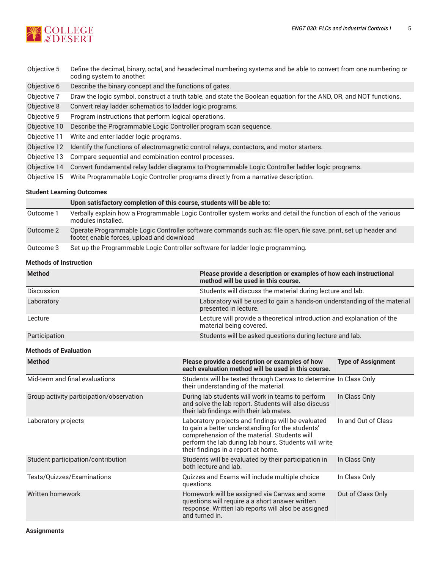

| Objective 5  | Define the decimal, binary, octal, and hexadecimal numbering systems and be able to convert from one numbering or<br>coding system to another. |
|--------------|------------------------------------------------------------------------------------------------------------------------------------------------|
| Objective 6  | Describe the binary concept and the functions of gates.                                                                                        |
| Objective 7  | Draw the logic symbol, construct a truth table, and state the Boolean equation for the AND, OR, and NOT functions.                             |
| Objective 8  | Convert relay ladder schematics to ladder logic programs.                                                                                      |
| Objective 9  | Program instructions that perform logical operations.                                                                                          |
| Objective 10 | Describe the Programmable Logic Controller program scan sequence.                                                                              |
| Objective 11 | Write and enter ladder logic programs.                                                                                                         |
| Objective 12 | Identify the functions of electromagnetic control relays, contactors, and motor starters.                                                      |
| Objective 13 | Compare sequential and combination control processes.                                                                                          |
| Objective 14 | Convert fundamental relay ladder diagrams to Programmable Logic Controller ladder logic programs.                                              |
| Objective 15 | Write Programmable Logic Controller programs directly from a narrative description.                                                            |

#### **Student Learning Outcomes**

|           | Upon satisfactory completion of this course, students will be able to:                                                                                        |
|-----------|---------------------------------------------------------------------------------------------------------------------------------------------------------------|
| Outcome 1 | Verbally explain how a Programmable Logic Controller system works and detail the function of each of the various<br>modules installed.                        |
| Outcome 2 | Operate Programmable Logic Controller software commands such as: file open, file save, print, set up header and<br>footer, enable forces, upload and download |
| Outcome 3 | Set up the Programmable Logic Controller software for ladder logic programming.                                                                               |

# **Methods of Instruction**

| <b>Method</b>                            | method will be used in this course.                                                                                                                                                                                                                    | Please provide a description or examples of how each instructional       |  |  |  |
|------------------------------------------|--------------------------------------------------------------------------------------------------------------------------------------------------------------------------------------------------------------------------------------------------------|--------------------------------------------------------------------------|--|--|--|
| Discussion                               | Students will discuss the material during lecture and lab.                                                                                                                                                                                             |                                                                          |  |  |  |
| Laboratory                               | presented in lecture.                                                                                                                                                                                                                                  | Laboratory will be used to gain a hands-on understanding of the material |  |  |  |
| Lecture                                  | Lecture will provide a theoretical introduction and explanation of the<br>material being covered.                                                                                                                                                      |                                                                          |  |  |  |
| Participation                            |                                                                                                                                                                                                                                                        | Students will be asked questions during lecture and lab.                 |  |  |  |
| <b>Methods of Evaluation</b>             |                                                                                                                                                                                                                                                        |                                                                          |  |  |  |
| <b>Method</b>                            | Please provide a description or examples of how<br>each evaluation method will be used in this course.                                                                                                                                                 | <b>Type of Assignment</b>                                                |  |  |  |
| Mid-term and final evaluations           | Students will be tested through Canvas to determine In Class Only<br>their understanding of the material.                                                                                                                                              |                                                                          |  |  |  |
| Group activity participation/observation | During lab students will work in teams to perform<br>and solve the lab report. Students will also discuss<br>their lab findings with their lab mates.                                                                                                  | In Class Only                                                            |  |  |  |
| Laboratory projects                      | Laboratory projects and findings will be evaluated<br>to gain a better understanding for the students'<br>comprehension of the material. Students will<br>perform the lab during lab hours. Students will write<br>their findings in a report at home. | In and Out of Class                                                      |  |  |  |
| Student participation/contribution       | Students will be evaluated by their participation in<br>both lecture and lab.                                                                                                                                                                          | In Class Only                                                            |  |  |  |
| Tests/Quizzes/Examinations               | Quizzes and Exams will include multiple choice<br>questions.                                                                                                                                                                                           | In Class Only                                                            |  |  |  |
| Written homework                         | Homework will be assigned via Canvas and some<br>questions will require a a short answer written<br>response. Written lab reports will also be assigned<br>and turned in.                                                                              | Out of Class Only                                                        |  |  |  |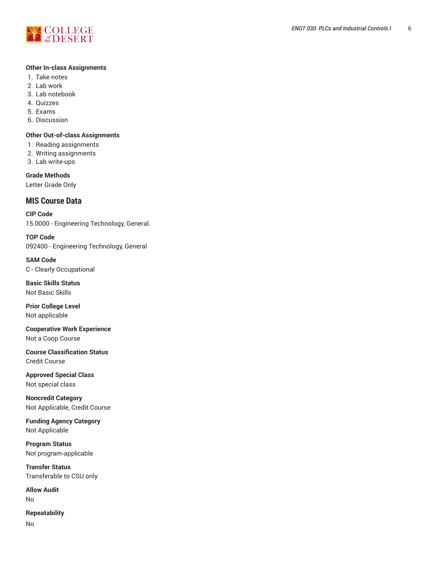

#### **Other In-class Assignments**

- 1. Take notes
- 2. Lab work
- 3. Lab notebook
- 4. Quizzes
- 5. Exams
- 6. Discussion

#### **Other Out-of-class Assignments**

- 1. Reading assignments
- 2. Writing assignments
- 3. Lab write-ups

**Grade Methods** Letter Grade Only

# **MIS Course Data**

**CIP Code** 15.0000 - Engineering Technology, General.

**TOP Code** 092400 - Engineering Technology, General

**SAM Code** C - Clearly Occupational

**Basic Skills Status** Not Basic Skills

**Prior College Level** Not applicable

**Cooperative Work Experience** Not a Coop Course

**Course Classification Status** Credit Course

**Approved Special Class** Not special class

**Noncredit Category** Not Applicable, Credit Course

**Funding Agency Category** Not Applicable

**Program Status** Not program-applicable

**Transfer Status** Transferable to CSU only

**Allow Audit** No

**Repeatability**

No